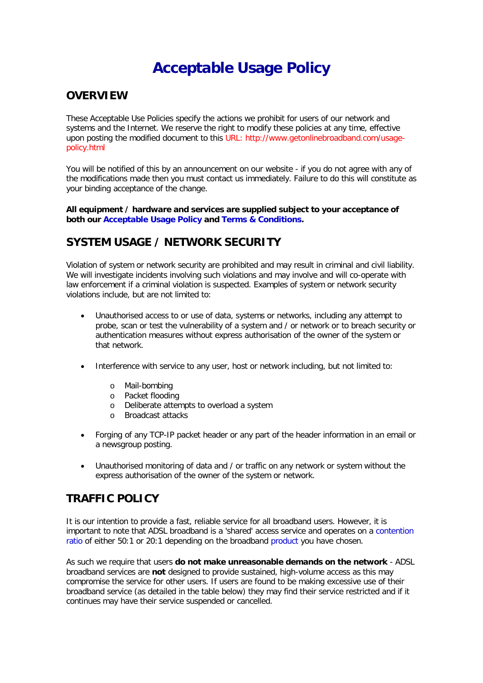# **Acceptable Usage Policy**

#### **OVERVIEW**

These Acceptable Use Policies specify the actions we prohibit for users of our network and systems and the Internet. We reserve the right to modify these policies at any time, effective upon posting the modified document to this URL: [http://www.getonlinebroadband.com/usage](http://www.getonlinebroadband.com/usage-policy.html)[policy.html](http://www.getonlinebroadband.com/usage-policy.html)

You will be notified of this by an announcement on our website - if you do not agree with any of the modifications made then you must contact us immediately. Failure to do this will constitute as your binding acceptance of the change.

**All equipment / hardware and services are supplied subject to your acceptance of both our [Acceptable Usage Policy](http://www.getonlinebroadband.com/usage-policy.html) and [Terms & Conditions.](http://www.getonlinebroadband.com/terms-and-conditions.html)**

# **SYSTEM USAGE / NETWORK SECURITY**

Violation of system or network security are prohibited and may result in criminal and civil liability. We will investigate incidents involving such violations and may involve and will co-operate with law enforcement if a criminal violation is suspected. Examples of system or network security violations include, but are not limited to:

- Unauthorised access to or use of data, systems or networks, including any attempt to probe, scan or test the vulnerability of a system and / or network or to breach security or authentication measures without express authorisation of the owner of the system or that network.
- Interference with service to any user, host or network including, but not limited to:
	- o Mail-bombing
	- o Packet flooding
	- o Deliberate attempts to overload a system
	- o Broadcast attacks
- Forging of any TCP-IP packet header or any part of the header information in an email or a newsgroup posting.
- Unauthorised monitoring of data and / or traffic on any network or system without the express authorisation of the owner of the system or network.

# **TRAFFIC POLICY**

It is our intention to provide a fast, reliable service for all broadband users. However, it is important to note that ADSL broadband is a 'shared' access service and operates on a [contention](http://www.getonlinebroadband.com/faqs/faq02.html)  [ratio](http://www.getonlinebroadband.com/faqs/faq02.html) of either 50:1 or 20:1 depending on the broadband [product](http://www.getonlinebroadband.com/products.html) you have chosen.

As such we require that users **do not make unreasonable demands on the network** - ADSL broadband services are **not** designed to provide sustained, high-volume access as this may compromise the service for other users. If users are found to be making excessive use of their broadband service (as detailed in the table below) they may find their service restricted and if it continues may have their service suspended or cancelled.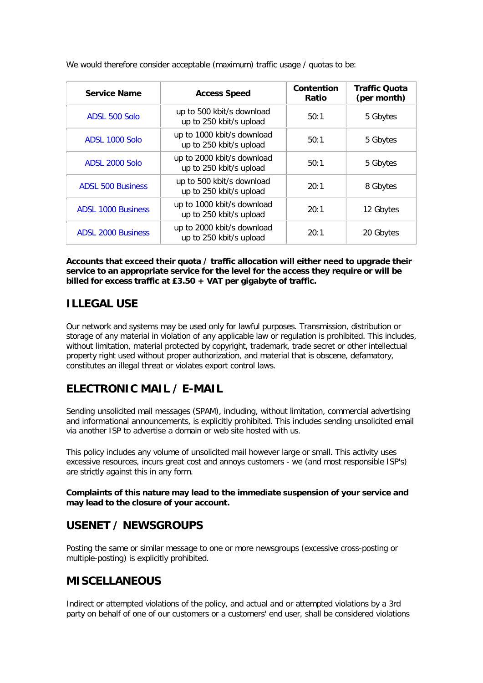| <b>Service Name</b>       | <b>Access Speed</b>                                   | Contention<br>Ratio | <b>Traffic Quota</b><br>(per month) |
|---------------------------|-------------------------------------------------------|---------------------|-------------------------------------|
| ADSL 500 Solo             | up to 500 kbit/s download<br>up to 250 kbit/s upload  | 50:1                | 5 Gbytes                            |
| ADSL 1000 Solo            | up to 1000 kbit/s download<br>up to 250 kbit/s upload | 50:1                | 5 Gbytes                            |
| ADSL 2000 Solo            | up to 2000 kbit/s download<br>up to 250 kbit/s upload | 50:1                | 5 Gbytes                            |
| <b>ADSL 500 Business</b>  | up to 500 kbit/s download<br>up to 250 kbit/s upload  | 20:1                | 8 Gbytes                            |
| <b>ADSL 1000 Business</b> | up to 1000 kbit/s download<br>up to 250 kbit/s upload | 20:1                | 12 Gbytes                           |
| <b>ADSL 2000 Business</b> | up to 2000 kbit/s download<br>up to 250 kbit/s upload | 20:1                | 20 Gbytes                           |

We would therefore consider acceptable (maximum) traffic usage / quotas to be:

**Accounts that exceed their quota / traffic allocation will either need to upgrade their service to an appropriate service for the level for the access they require or will be billed for excess traffic at £3.50 + VAT per gigabyte of traffic.**

# **ILLEGAL USE**

Our network and systems may be used only for lawful purposes. Transmission, distribution or storage of any material in violation of any applicable law or regulation is prohibited. This includes, without limitation, material protected by copyright, trademark, trade secret or other intellectual property right used without proper authorization, and material that is obscene, defamatory, constitutes an illegal threat or violates export control laws.

# **ELECTRONIC MAIL / E-MAIL**

Sending unsolicited mail messages (SPAM), including, without limitation, commercial advertising and informational announcements, is explicitly prohibited. This includes sending unsolicited email via another ISP to advertise a domain or web site hosted with us.

This policy includes any volume of unsolicited mail however large or small. This activity uses excessive resources, incurs great cost and annoys customers - we (and most responsible ISP's) are strictly against this in any form.

**Complaints of this nature may lead to the immediate suspension of your service and may lead to the closure of your account.**

### **USENET / NEWSGROUPS**

Posting the same or similar message to one or more newsgroups (excessive cross-posting or multiple-posting) is explicitly prohibited.

# **MISCELLANEOUS**

Indirect or attempted violations of the policy, and actual and or attempted violations by a 3rd party on behalf of one of our customers or a customers' end user, shall be considered violations